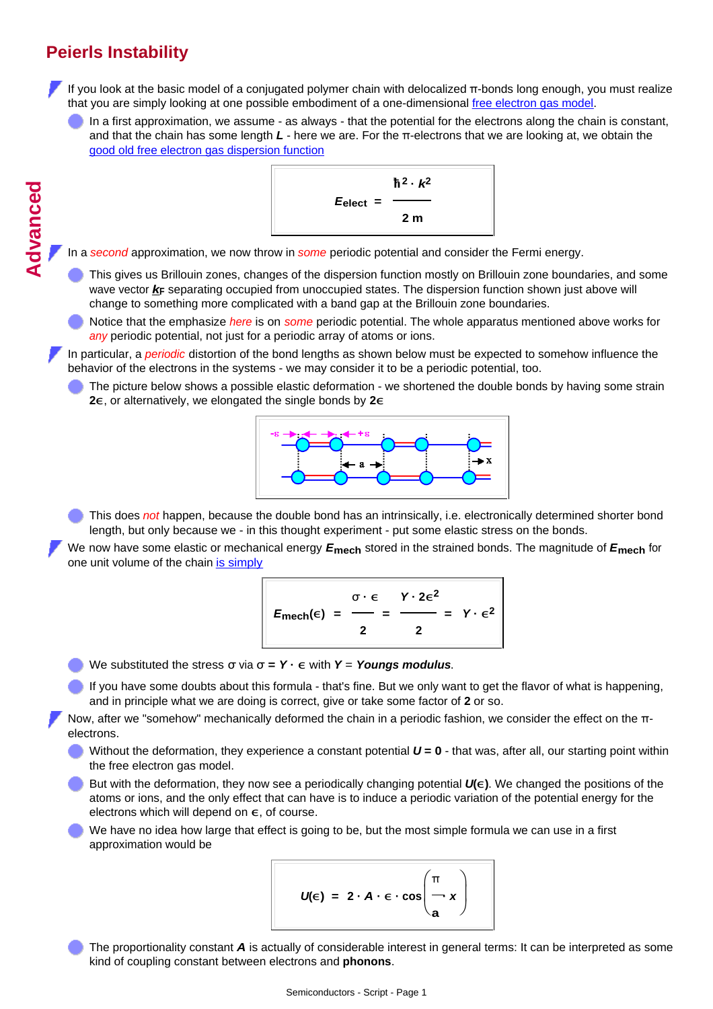## **Peierls Instability**

Advanced **Advanced**

- If you look at the basic model of a conjugated polymer chain with delocalized **π**-bonds long enough, you must realize that you are simply looking at one possible embodiment of a one-dimensional [free electron gas model](http://www.tf.uni-kiel.de/matwis/amat/semi_en/kap_2/backbone/r2_1_1.html).
	- In a first approximation, we assume as always that the potential for the electrons along the chain is constant, and that the chain has some length *L* - here we are. For the **π**-electrons that we are looking at, we obtain the [good old free electron gas dispersion function](http://www.tf.uni-kiel.de/matwis/amat/semi_en/kap_2/backbone/r2_1_1.html#_12)



In a *second* approximation, we now throw in *some* periodic potential and consider the Fermi energy.

- This gives us Brillouin zones, changes of the dispersion function mostly on Brillouin zone boundaries, and some wave vector  $k_F$  separating occupied from unoccupied states. The dispersion function shown just above will change to something more complicated with a band gap at the Brillouin zone boundaries.
- Notice that the emphasize *here* is on *some* periodic potential. The whole apparatus mentioned above works for *any* periodic potential, not just for a periodic array of atoms or ions.
- In particular, a *periodic* distortion of the bond lengths as shown below must be expected to somehow influence the behavior of the electrons in the systems - we may consider it to be a periodic potential, too.
	- The picture below shows a possible elastic deformation we shortened the double bonds by having some strain **2ε**, or alternatively, we elongated the single bonds by **2ε**



- **This does not happen, because the double bond has an intrinsically, i.e. electronically determined shorter bond** length, but only because we - in this thought experiment - put some elastic stress on the bonds.
- <span id="page-0-0"></span>We now have some elastic or mechanical energy *E***mech** stored in the strained bonds. The magnitude of *E***mech** for one unit volume of the chain [is simply](http://www.tf.uni-kiel.de/matwis/amat/mw1_ge/kap_7/backbone/r7_1_1.html)

$$
E_{\text{mech}}(\epsilon) = \frac{\sigma \cdot \epsilon}{2} = \frac{\gamma \cdot 2\epsilon^2}{2} = \gamma \cdot \epsilon^2
$$

We substituted the stress **σ** via **σ =** *Y* **· ε** with *Y* = *Youngs modulus*.

- If you have some doubts about this formula that's fine. But we only want to get the flavor of what is happening, and in principle what we are doing is correct, give or take some factor of **2** or so.
- Now, after we "somehow" mechanically deformed the chain in a periodic fashion, we consider the effect on the **π**electrons.
	- Without the deformation, they experience a constant potential  $U = 0$  that was, after all, our starting point within the free electron gas model.
	- But with the deformation, they now see a periodically changing potential *U***(ε)**. We changed the positions of the atoms or ions, and the only effect that can have is to induce a periodic variation of the potential energy for the electrons which will depend on **ε**, of course.
	- We have no idea how large that effect is going to be, but the most simple formula we can use in a first approximation would be

$$
U(\epsilon) = 2 \cdot A \cdot \epsilon \cdot \cos\left(\frac{\pi}{a} x\right)
$$

The proportionality constant *A* is actually of considerable interest in general terms: It can be interpreted as some kind of coupling constant between electrons and **phonons**.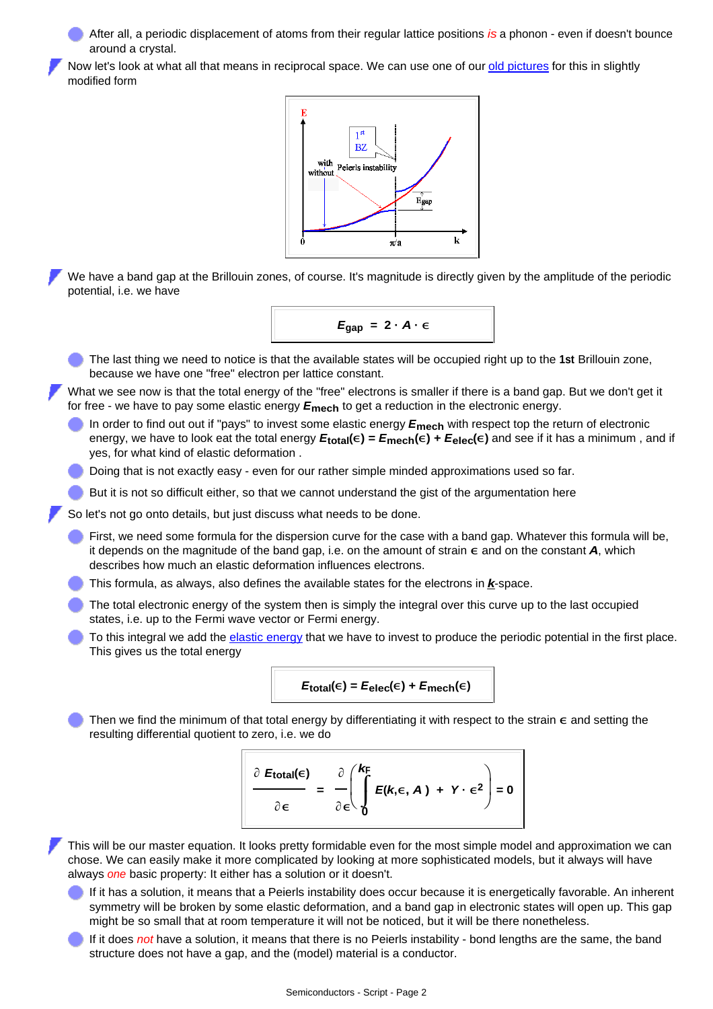After all, a periodic displacement of atoms from their regular lattice positions *is* a phonon - even if doesn't bounce around a crystal.

Now let's look at what all that means in reciprocal space. We can use one of our [old pictures](http://www.tf.uni-kiel.de/matwis/amat/semi_en/kap_2/backbone/r2_1_3.html#_1) for this in slightly modified form



We have a band gap at the Brillouin zones, of course. It's magnitude is directly given by the amplitude of the periodic potential, i.e. we have

$$
E_{\text{gap}} = 2 \cdot A \cdot \epsilon
$$

The last thing we need to notice is that the available states will be occupied right up to the **1st** Brillouin zone, because we have one "free" electron per lattice constant.

What we see now is that the total energy of the "free" electrons is smaller if there is a band gap. But we don't get it for free - we have to pay some elastic energy *E***mech** to get a reduction in the electronic energy.

In order to find out out if "pays" to invest some elastic energy *E***mech** with respect top the return of electronic energy, we have to look eat the total energy *E***total(ε) =** *E***mech(ε) +** *E***elec(ε)** and see if it has a minimum , and if yes, for what kind of elastic deformation .

Doing that is not exactly easy - even for our rather simple minded approximations used so far.

But it is not so difficult either, so that we cannot understand the gist of the argumentation here

So let's not go onto details, but just discuss what needs to be done.

- First, we need some formula for the dispersion curve for the case with a band gap. Whatever this formula will be, it depends on the magnitude of the band gap, i.e. on the amount of strain **ε** and on the constant *A*, which describes how much an elastic deformation influences electrons.
- This formula, as always, also defines the available states for the electrons in *k*-space.
- The total electronic energy of the system then is simply the integral over this curve up to the last occupied states, i.e. up to the Fermi wave vector or Fermi energy.
- To this integral we add the [elastic energy](#page-0-0) that we have to invest to produce the periodic potential in the first place. This gives us the total energy

$$
E_{\text{total}}(\epsilon) = E_{\text{elec}}(\epsilon) + E_{\text{mech}}(\epsilon)
$$

Then we find the minimum of that total energy by differentiating it with respect to the strain **ε** and setting the resulting differential quotient to zero, i.e. we do

$$
\frac{\partial E_{\text{total}}(\epsilon)}{\partial \epsilon} = \frac{\partial}{\partial \epsilon} \left( \int_{0}^{k_{\text{F}}} E(k, \epsilon, A) + Y \cdot \epsilon^{2} \right) = 0
$$

- This will be our master equation. It looks pretty formidable even for the most simple model and approximation we can chose. We can easily make it more complicated by looking at more sophisticated models, but it always will have always *one* basic property: It either has a solution or it doesn't.
	- If it has a solution, it means that a Peierls instability does occur because it is energetically favorable. An inherent symmetry will be broken by some elastic deformation, and a band gap in electronic states will open up. This gap might be so small that at room temperature it will not be noticed, but it will be there nonetheless.
	- If it does *not* have a solution, it means that there is no Peierls instability bond lengths are the same, the band structure does not have a gap, and the (model) material is a conductor.